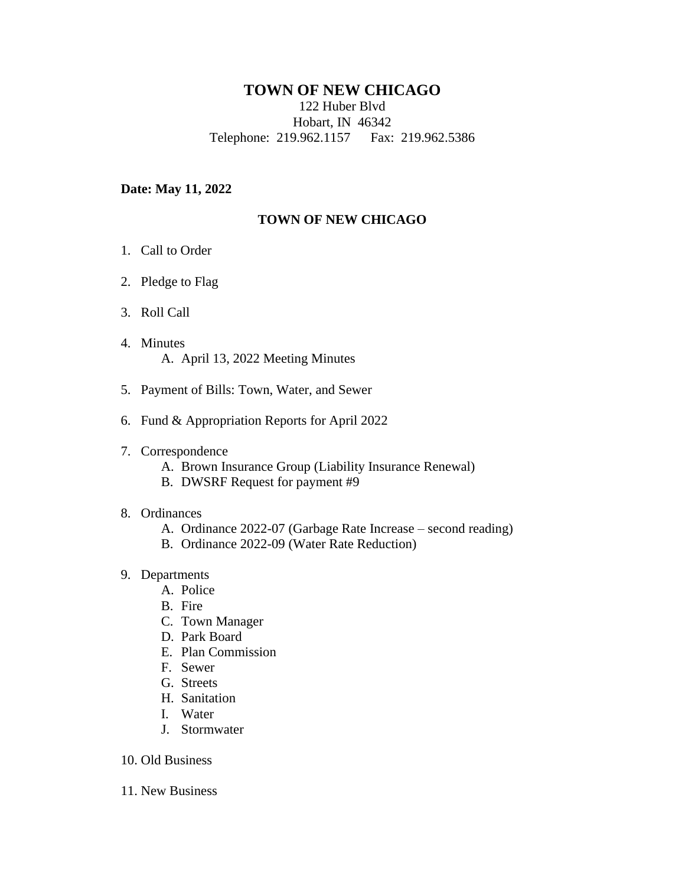## **TOWN OF NEW CHICAGO**

122 Huber Blvd

Hobart, IN 46342

Telephone: 219.962.1157 Fax: 219.962.5386

#### **Date: May 11, 2022**

### **TOWN OF NEW CHICAGO**

- 1. Call to Order
- 2. Pledge to Flag
- 3. Roll Call
- 4. Minutes A. April 13, 2022 Meeting Minutes
- 5. Payment of Bills: Town, Water, and Sewer
- 6. Fund & Appropriation Reports for April 2022
- 7. Correspondence
	- A. Brown Insurance Group (Liability Insurance Renewal)
	- B. DWSRF Request for payment #9
- 8. Ordinances
	- A. Ordinance 2022-07 (Garbage Rate Increase second reading)
	- B. Ordinance 2022-09 (Water Rate Reduction)

# 9. Departments

- A. Police
- B. Fire
- C. Town Manager
- D. Park Board
- E. Plan Commission
- F. Sewer
- G. Streets
- H. Sanitation
- I. Water
- J. Stormwater
- 10. Old Business
- 11. New Business